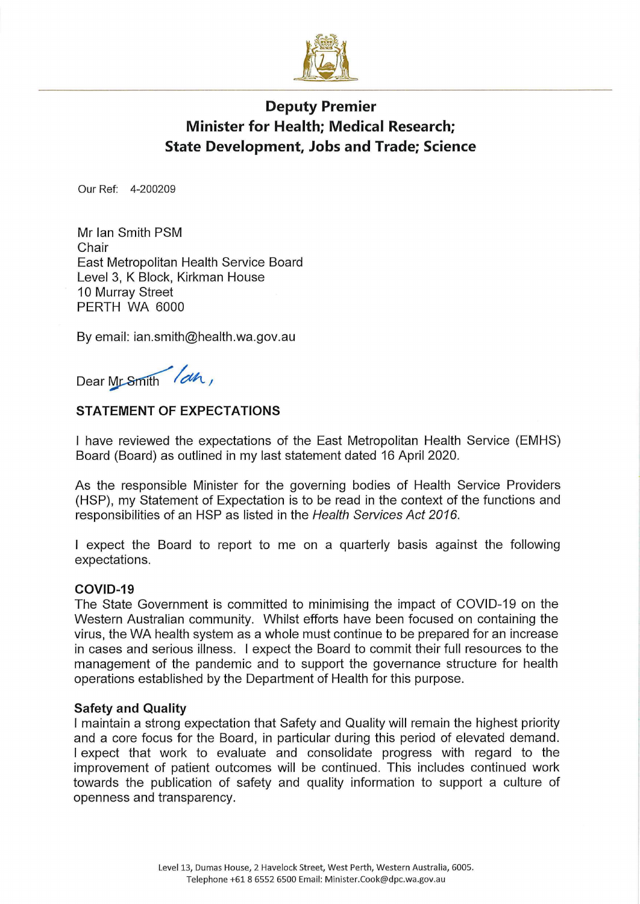

# Deputy Premier Minister for Health; Medical Research; State Development, Jobs and Trade; Science

Our Ref: 4-200209

Mr Ian Smith PSM Chair East Metropolitan Health Service Board Level 3, K Block, Kirkman House 10 Murray Street PERTH WA 6000

By email: ian.smith@health.wa.gov.au

Dear Mr Smith lah,

# STATEMENT OF EXPECTATIONS

I have reviewed the expectations of the East Metropolitan Health Service (EMHS) Board (Board) as outlined in my last statement dated 16 April 2020.

As the responsible Minister for the governing bodies of Health Service Providers (HSP), my Statement of Expectation is to be read in the context of the functions and responsibilities of an HSP as listed in the Health Services Act 2016.

I expect the Board to report to me on a quarterly basis against the following expectations.

#### COVID-19

The State Government is committed to minimising the impact of COVID-19 on the Western Australian community. Whilst efforts have been focused on containing the virus, the WA health system as a whole must continue to be prepared for an increase in cases and serious illness. I expect the Board to commit their full resources to the management of the pandemic and to support the governance structure for health operations established by the Department of Health for this purpose.

#### Safety and Quality

I maintain a strong expectation that Safety and Quality will remain the highest priority and a core focus for the Board, in particular during this period of elevated demand. I expect that work to evaluate and consolidate progress with regard to the improvement of patient outcomes will be continued. This includes continued work towards the publication of safety and quality information to support a culture of openness and transparency.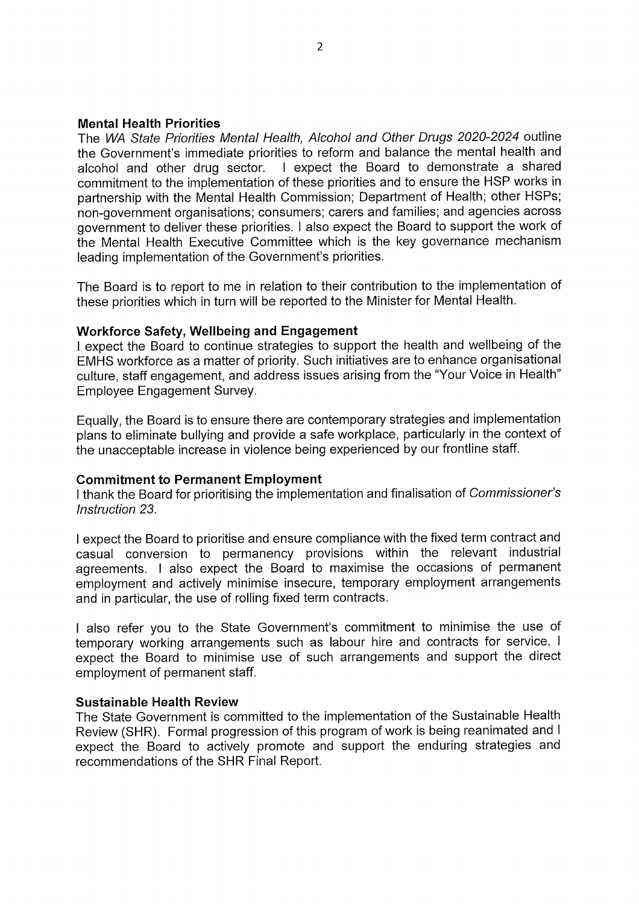### Mental Health Priorities

The WA State Priorities Mental Health, Alcohol and Other Drugs 2020-2024 outline the Government's immediate priorities to reform and balance the mental health and alcohol and other drug sector. I expect the Board to demonstrate a shared commitment to the implementation of these priorities and to ensure the HSP works in partnership with the Mental Health Commission; Department of Health; other HSPs; non-government organisations; consumers; carers and families; and agencies across government to deliver these priorities. I also expect the Board to support the work of the Mental Health Executive Committee which is the key governance mechanism leading implementation of the Government's priorities.

The Board is to report to me in relation to their contribution to the implementation of these priorities which in turn will be reported to the Minister for Mental Health.

#### Workforce Safety, Wellbeing and Engagement

I expect the Board to continue strategies to support the health and wellbeing of the EMHS workforce as a matter of priority. Such initiatives are to enhance organisational culture, staff engagement, and address issues arising from the "Your Voice in Health" Employee Engagement Survey.

Equally, the Board is to ensure there are contemporary strategies and implementation plans to eliminate bullying and provide a safe workplace, particularly in the context of the unacceptable increase in violence being experienced by our frontline staff.

#### Commitment to Permanent Employment

I thank the Board for prioritising the implementation and finalisation of Commissioner's Instruction 23.

I expect the Board to prioritise and ensure compliance with the fixed term contract and casual conversion to permanency provisions within the relevant industrial agreements. I also expect the Board to maximise the occasions of permanent employment and actively minimise insecure, temporary employment arrangements and in particular, the use of rolling fixed term contracts.

I also refer you to the State Government's commitment to minimise the use of temporary working arrangements such as labour hire and contracts for service. I expect the Board to minimise use of such arrangements and support the direct employment of permanent staff.

#### Sustainable Health Review

The State Government is committed to the implementation of the Sustainable Health Review (SHR). Formal progression of this program of work is being reanimated and I expect the Board to actively promote and support the enduring strategies and recommendations of the SHR Final Report.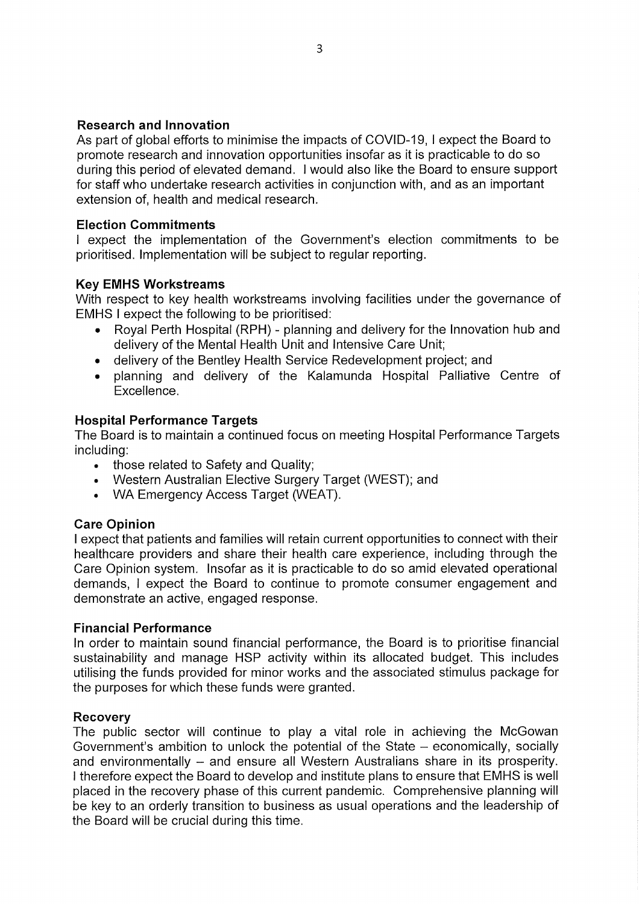# Research and Innovation

As part of global efforts to minimise the impacts of COVID-19, I expect the Board to promote research and innovation opportunities insofar as it is practicable to do so during this period of elevated demand. I would also like the Board to ensure support for staff who undertake research activities in conjunction with, and as an important extension of, health and medical research.

# Election Commitments

I expect the implementation of the Government's election commitments to be prioritised. Implementation will be subject to regular reporting.

# **Key EMHS Workstreams**

With respect to key health workstreams involving facilities under the governance of EMHS I expect the following to be prioritised:

- Royal Perth Hospital (RPH) planning and delivery for the Innovation hub and delivery of the Mental Health Unit and Intensive Care Unit;
- delivery of the Bentley Health Service Redevelopment project; and
- planning and delivery of the Kalamunda Hospital Palliative Centre of Excellence.

# Hospital Performance Targets

The Board is to maintain a continued focus on meeting Hospital Performance Targets including:

- those related to Safety and Quality;
- Western Australian Elective Surgery Target (WEST); and
- WA Emergency Access Target (WEAT).

# Care Opinion

I expect that patients and families will retain current opportunities to connect with their healthcare providers and share their health care experience, including through the Care Opinion system. Insofar as it is practicable to do so amid elevated operational demands, I expect the Board to continue to promote consumer engagement and demonstrate an active, engaged response.

# Financial Performance

In order to maintain sound financial performance, the Board is to prioritise financial sustainability and manage HSP activity within its allocated budget. This includes utilising the funds provided for minor works and the associated stimulus package for the purposes for which these funds were granted.

# Recovery

The public sector will continue to play a vital role in achieving the McGowan Government's ambition to unlock the potential of the State  $-$  economically, socially and environmentally - and ensure all Western Australians share in its prosperity. I therefore expect the Board to develop and institute plans to ensure that EMHS is well placed in the recovery phase of this current pandemic. Comprehensive planning will be key to an orderly transition to business as usual operations and the leadership of the Board will be crucial during this time.